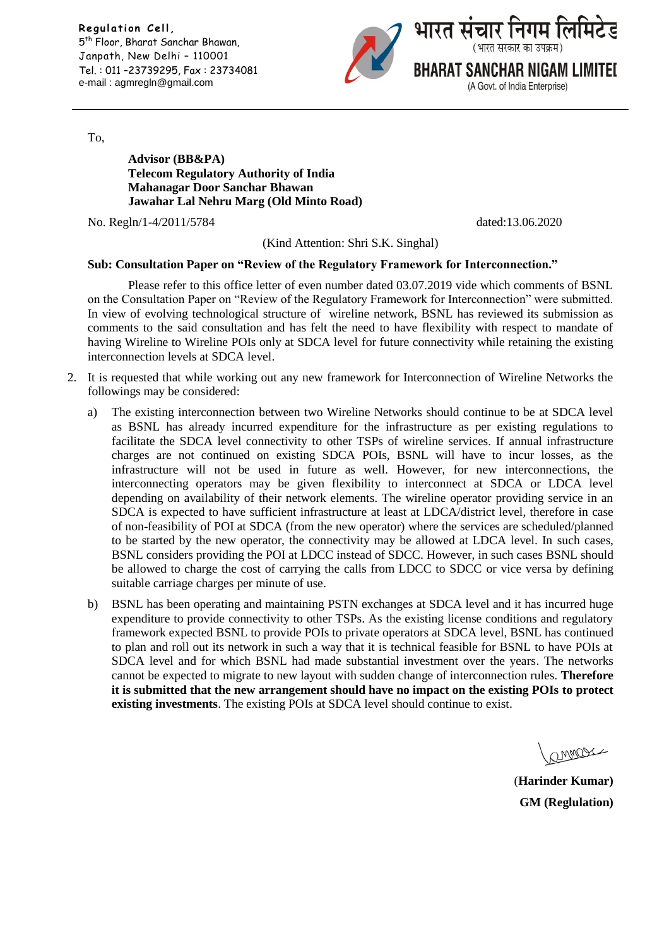**Regulation Cell,** 5 th Floor, Bharat Sanchar Bhawan, Janpath, New Delhi – 110001 Tel. : 011 –23739295, Fax : 23734081 e-mail : agmregln@gmail.com



To,

**Advisor (BB&PA) Telecom Regulatory Authority of India Mahanagar Door Sanchar Bhawan Jawahar Lal Nehru Marg (Old Minto Road)** 

No. Regln/1-4/2011/5784 dated:13.06.2020

(Kind Attention: Shri S.K. Singhal)

## **Sub: Consultation Paper on "Review of the Regulatory Framework for Interconnection."**

Please refer to this office letter of even number dated 03.07.2019 vide which comments of BSNL on the Consultation Paper on "Review of the Regulatory Framework for Interconnection" were submitted. In view of evolving technological structure of wireline network, BSNL has reviewed its submission as comments to the said consultation and has felt the need to have flexibility with respect to mandate of having Wireline to Wireline POIs only at SDCA level for future connectivity while retaining the existing interconnection levels at SDCA level.

- 2. It is requested that while working out any new framework for Interconnection of Wireline Networks the followings may be considered:
	- a) The existing interconnection between two Wireline Networks should continue to be at SDCA level as BSNL has already incurred expenditure for the infrastructure as per existing regulations to facilitate the SDCA level connectivity to other TSPs of wireline services. If annual infrastructure charges are not continued on existing SDCA POIs, BSNL will have to incur losses, as the infrastructure will not be used in future as well. However, for new interconnections, the interconnecting operators may be given flexibility to interconnect at SDCA or LDCA level depending on availability of their network elements. The wireline operator providing service in an SDCA is expected to have sufficient infrastructure at least at LDCA/district level, therefore in case of non-feasibility of POI at SDCA (from the new operator) where the services are scheduled/planned to be started by the new operator, the connectivity may be allowed at LDCA level. In such cases, BSNL considers providing the POI at LDCC instead of SDCC. However, in such cases BSNL should be allowed to charge the cost of carrying the calls from LDCC to SDCC or vice versa by defining suitable carriage charges per minute of use.
	- b) BSNL has been operating and maintaining PSTN exchanges at SDCA level and it has incurred huge expenditure to provide connectivity to other TSPs. As the existing license conditions and regulatory framework expected BSNL to provide POIs to private operators at SDCA level, BSNL has continued to plan and roll out its network in such a way that it is technical feasible for BSNL to have POIs at SDCA level and for which BSNL had made substantial investment over the years. The networks cannot be expected to migrate to new layout with sudden change of interconnection rules. **Therefore it is submitted that the new arrangement should have no impact on the existing POIs to protect existing investments**. The existing POIs at SDCA level should continue to exist.

MMOOL

(**Harinder Kumar) GM (Reglulation)**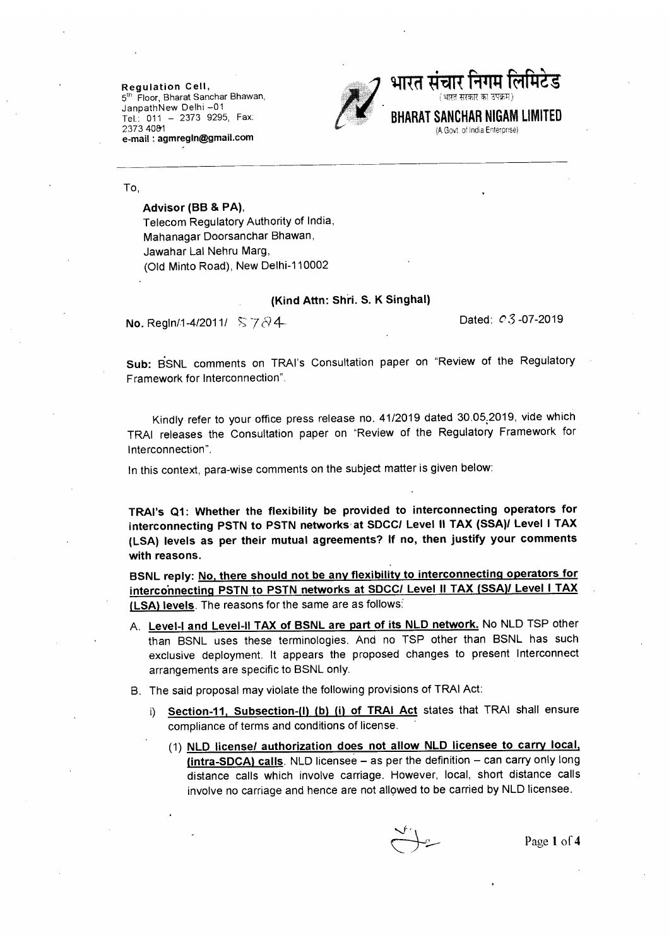Regulation Cell, 5<sup>th</sup> Floor, Bharat Sanchar Bhawan, JanpathNew Delhi-01 Tel.: 011 - 2373 9295, Fax: 2373 4081 e-mail: agmregIn@gmail.com



भारत सचार **BHARAT SANCHAR NIGAM LIMITED** 

(A Govt. of India Enterprise)

To.

## Advisor (BB & PA),

Telecom Regulatory Authority of India, Mahanagar Doorsanchar Bhawan, Jawahar Lal Nehru Marg, (Old Minto Road), New Delhi-110002

## (Kind Attn: Shri. S. K Singhal)

No. Regin/1-4/2011/ S784

Dated:  $C3 - 07 - 2019$ 

Sub: BSNL comments on TRAI's Consultation paper on "Review of the Regulatory Framework for Interconnection".

Kindly refer to your office press release no. 41/2019 dated 30.05.2019, vide which TRAI releases the Consultation paper on "Review of the Regulatory Framework for Interconnection".

In this context, para-wise comments on the subject matter is given below:

TRAI's Q1: Whether the flexibility be provided to interconnecting operators for interconnecting PSTN to PSTN networks at SDCC/ Level II TAX (SSA)/ Level I TAX (LSA) levels as per their mutual agreements? If no, then justify your comments with reasons.

BSNL reply: No, there should not be any flexibility to interconnecting operators for interconnecting PSTN to PSTN networks at SDCC/ Level II TAX (SSA)/ Level I TAX (LSA) levels. The reasons for the same are as follows:

- A. Level-1 and Level-II TAX of BSNL are part of its NLD network. No NLD TSP other than BSNL uses these terminologies. And no TSP other than BSNL has such exclusive deployment. It appears the proposed changes to present Interconnect arrangements are specific to BSNL only.
- B. The said proposal may violate the following provisions of TRAI Act:
	- Section-11, Subsection-(I) (b) (i) of TRAI Act states that TRAI shall ensure  $i$ compliance of terms and conditions of license.
		- (1) NLD license/ authorization does not allow NLD licensee to carry local, (intra-SDCA) calls. NLD licensee - as per the definition - can carry only long distance calls which involve carriage. However, local, short distance calls involve no carriage and hence are not allowed to be carried by NLD licensee.

Page 1 of 4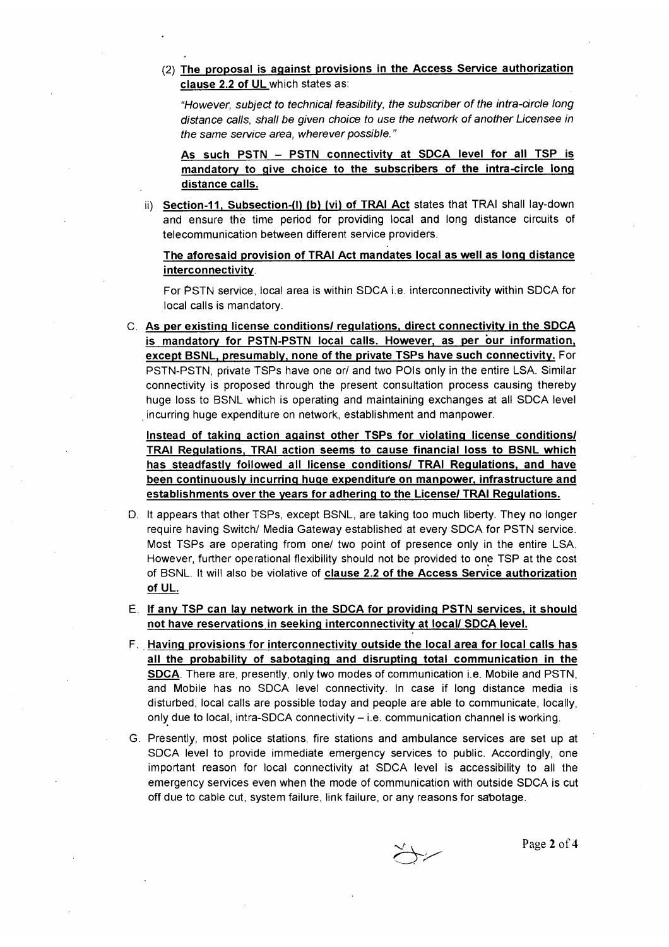(2) The proposal is against provisions in the Access Service authorization clause 2.2 of UL which states as:

"However, subject to technical feasibility, the subscriber of the intra-circle long distance calls, shall be given choice to use the network of another Licensee in the same service area, wherever possible."

As such PSTN - PSTN connectivity at SDCA level for all TSP is mandatory to give choice to the subscribers of the intra-circle long distance calls.

ii) Section-11, Subsection-(I) (b) (vi) of TRAI Act states that TRAI shall lay-down and ensure the time period for providing local and long distance circuits of telecommunication between different service providers.

The aforesaid provision of TRAI Act mandates local as well as long distance interconnectivity.

For PSTN service, local area is within SDCA i.e. interconnectivity within SDCA for local calls is mandatory.

C. As per existing license conditions/ regulations, direct connectivity in the SDCA is mandatory for PSTN-PSTN local calls. However, as per our information, except BSNL, presumably, none of the private TSPs have such connectivity. For PSTN-PSTN, private TSPs have one or/ and two POIs only in the entire LSA. Similar connectivity is proposed through the present consultation process causing thereby huge loss to BSNL which is operating and maintaining exchanges at all SDCA level incurring huge expenditure on network, establishment and manpower.

Instead of taking action against other TSPs for violating license conditions/ TRAI Requlations, TRAI action seems to cause financial loss to BSNL which has steadfastly followed all license conditions/ TRAI Regulations, and have been continuously incurring huge expenditure on manpower, infrastructure and establishments over the years for adhering to the License/ TRAI Regulations.

- D. It appears that other TSPs, except BSNL, are taking too much liberty. They no longer require having Switch/ Media Gateway established at every SDCA for PSTN service. Most TSPs are operating from one/ two point of presence only in the entire LSA. However, further operational flexibility should not be provided to one TSP at the cost of BSNL. It will also be violative of clause 2.2 of the Access Service authorization of UL.
- E. If any TSP can lay network in the SDCA for providing PSTN services, it should not have reservations in seeking interconnectivity at local/ SDCA level.
- F. Having provisions for interconnectivity outside the local area for local calls has all the probability of sabotaging and disrupting total communication in the SDCA. There are, presently, only two modes of communication i.e. Mobile and PSTN, and Mobile has no SDCA level connectivity. In case if long distance media is disturbed, local calls are possible today and people are able to communicate, locally, only due to local, intra-SDCA connectivity - i.e. communication channel is working.
- G. Presently, most police stations, fire stations and ambulance services are set up at SDCA level to provide immediate emergency services to public. Accordingly, one important reason for local connectivity at SDCA level is accessibility to all the emergency services even when the mode of communication with outside SDCA is cut off due to cable cut, system failure, link failure, or any reasons for sabotage.

 $\geq \searrow$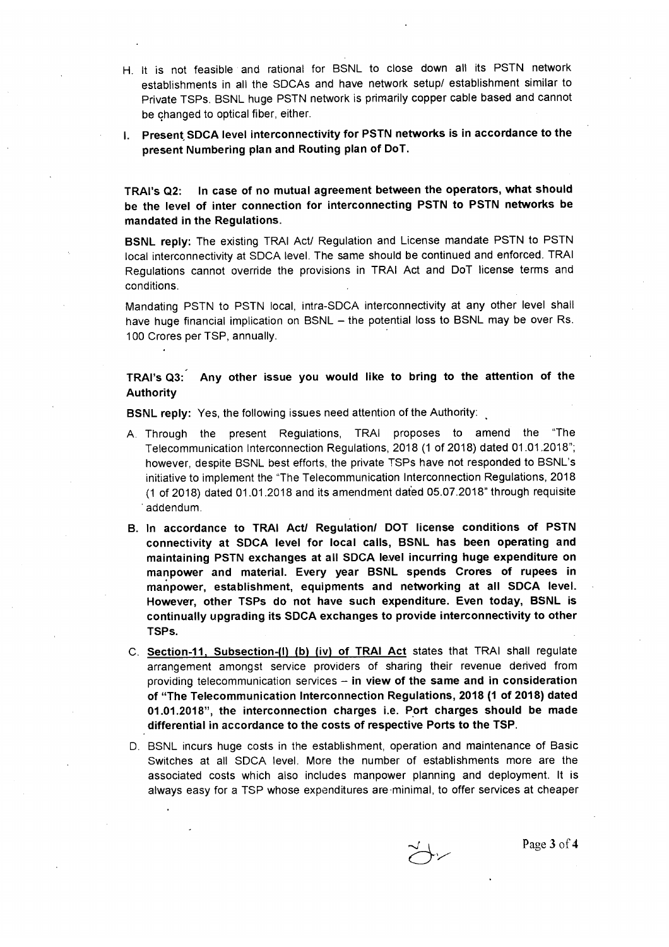- H. It is not feasible and rational for BSNL to close down all its PSTN network establishments in all the SDCAs and have network setup/ establishment similar to Private TSPs. BSNL huge PSTN network is primarily copper cable based and cannot be changed to optical fiber, either.
- I. Present SDCA level interconnectivity for PSTN networks is in accordance to the present Numbering plan and Routing plan of DoT.

In case of no mutual agreement between the operators, what should TRAI's Q2. be the level of inter connection for interconnecting PSTN to PSTN networks be mandated in the Regulations.

BSNL reply: The existing TRAI Act/ Regulation and License mandate PSTN to PSTN local interconnectivity at SDCA level. The same should be continued and enforced. TRAI Regulations cannot override the provisions in TRAI Act and DoT license terms and conditions.

Mandating PSTN to PSTN local, intra-SDCA interconnectivity at any other level shall have huge financial implication on BSNL - the potential loss to BSNL may be over Rs. 100 Crores per TSP, annually.

Any other issue you would like to bring to the attention of the TRAI's Q3: **Authority** 

BSNL reply: Yes, the following issues need attention of the Authority:

- A. Through the present Regulations, TRAI proposes to amend the "The Telecommunication Interconnection Regulations, 2018 (1 of 2018) dated 01.01.2018"; however, despite BSNL best efforts, the private TSPs have not responded to BSNL's initiative to implement the "The Telecommunication Interconnection Regulations, 2018 (1 of 2018) dated 01.01.2018 and its amendment dated 05.07.2018" through requisite addendum.
- B. In accordance to TRAI Act/ Regulation/ DOT license conditions of PSTN connectivity at SDCA level for local calls, BSNL has been operating and maintaining PSTN exchanges at all SDCA level incurring huge expenditure on manpower and material. Every year BSNL spends Crores of rupees in manpower, establishment, equipments and networking at all SDCA level. However, other TSPs do not have such expenditure. Even today, BSNL is continually upgrading its SDCA exchanges to provide interconnectivity to other TSPs.
- C. Section-11, Subsection-(I) (b) (iv) of TRAI Act states that TRAI shall regulate arrangement amongst service providers of sharing their revenue derived from providing telecommunication services - in view of the same and in consideration of "The Telecommunication Interconnection Regulations, 2018 (1 of 2018) dated 01.01.2018", the interconnection charges i.e. Port charges should be made differential in accordance to the costs of respective Ports to the TSP.
- D. BSNL incurs huge costs in the establishment, operation and maintenance of Basic Switches at all SDCA level. More the number of establishments more are the associated costs which also includes manpower planning and deployment. It is always easy for a TSP whose expenditures are minimal, to offer services at cheaper